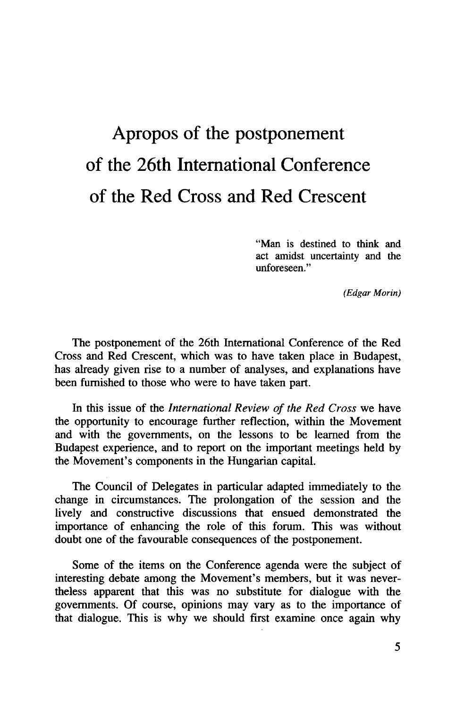# Apropos of the postponement of the 26th International Conference of the Red Cross and Red Crescent

"Man is destined to think and act amidst uncertainty and the unforeseen."

*(Edgar Morin)*

The postponement of the 26th International Conference of the Red Cross and Red Crescent, which was to have taken place in Budapest, has already given rise to a number of analyses, and explanations have been furnished to those who were to have taken part.

In this issue of the *International Review of the Red Cross* we have the opportunity to encourage further reflection, within the Movement and with the governments, on the lessons to be learned from the Budapest experience, and to report on the important meetings held by the Movement's components in the Hungarian capital.

The Council of Delegates in particular adapted immediately to the change in circumstances. The prolongation of the session and the lively and constructive discussions that ensued demonstrated the importance of enhancing the role of this forum. This was without doubt one of the favourable consequences of the postponement.

Some of the items on the Conference agenda were the subject of interesting debate among the Movement's members, but it was nevertheless apparent that this was no substitute for dialogue with the governments. Of course, opinions may vary as to the importance of that dialogue. This is why we should first examine once again why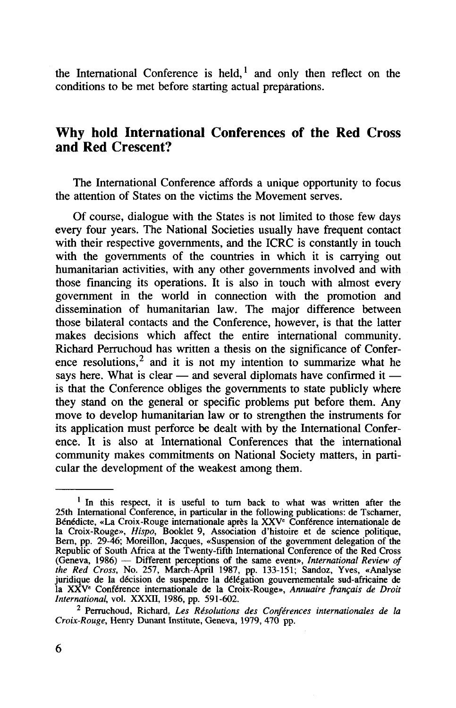the International Conference is held,<sup>1</sup> and only then reflect on the conditions to be met before starting actual preparations.

## Why hold International Conferences of the Red Cross and Red Crescent?

The International Conference affords a unique opportunity to focus the attention of States on the victims the Movement serves.

Of course, dialogue with the States is not limited to those few days every four years. The National Societies usually have frequent contact with their respective governments, and the ICRC is constantly in touch with the governments of the countries in which it is carrying out humanitarian activities, with any other governments involved and with those financing its operations. It is also in touch with almost every government in the world in connection with the promotion and dissemination of humanitarian law. The major difference between those bilateral contacts and the Conference, however, is that the latter makes decisions which affect the entire international community. Richard Perruchoud has written a thesis on the significance of Conference resolutions,<sup>2</sup> and it is not my intention to summarize what he says here. What is clear  $-$  and several diplomats have confirmed it  $$ is that the Conference obliges the governments to state publicly where they stand on the general or specific problems put before them. Any move to develop humanitarian law or to strengthen the instruments for its application must perforce be dealt with by the International Conference. It is also at International Conferences that the international community makes commitments on National Society matters, in particular the development of the weakest among them.

<sup>&</sup>lt;sup>1</sup> In this respect, it is useful to turn back to what was written after the 25th International Conference, in particular in the following publications: de Tscharner, Bénédicte, «La Croix-Rouge internationale après la XXV<sup>e</sup> Conférence internationale de Facture, Souge», Hispo, Booklet 9, Association d'histoire et de science politique,<br>Bern, pp. 29-46; Moreillon, Jacques, «Suspension of the government delegation of the<br>Republic of South Africa at the Twenty-fifth Internati *the Red Cross,* No. 257, March-April 1987, pp. 133-151; Sandoz, Yves, «Analyse juridique de la décision de suspendre la délégation gouvernementale sud-africaine de la décision de suspendre la délégation gouvernementale su la XXV<sup>e</sup> Conférence internationale de la Croix-Rouge», Annuaire français de Droit *International,* vol. XXXII, 1986, pp. 591-602.

<sup>2</sup> Perruchoud, Richard, *Les Resolutions des Conferences Internationales de la Croix-Rouge,* Henry Dunant Institute, Geneva, 1979, 470 pp.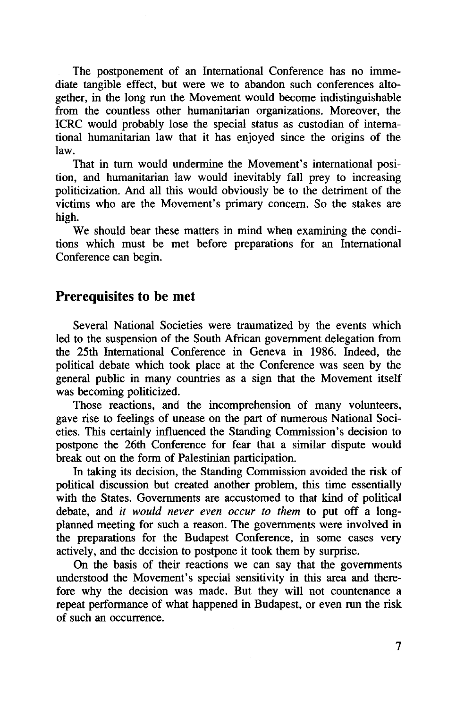The postponement of an International Conference has no immediate tangible effect, but were we to abandon such conferences altogether, in the long run the Movement would become indistinguishable from the countless other humanitarian organizations. Moreover, the ICRC would probably lose the special status as custodian of international humanitarian law that it has enjoyed since the origins of the law.

That in turn would undermine the Movement's international position, and humanitarian law would inevitably fall prey to increasing politicization. And all this would obviously be to the detriment of the victims who are the Movement's primary concern. So the stakes are high.

We should bear these matters in mind when examining the conditions which must be met before preparations for an International Conference can begin.

#### Prerequisites to be met

Several National Societies were traumatized by the events which led to the suspension of the South African government delegation from the 25th International Conference in Geneva in 1986. Indeed, the political debate which took place at the Conference was seen by the general public in many countries as a sign that the Movement itself was becoming politicized.

Those reactions, and the incomprehension of many volunteers, gave rise to feelings of unease on the part of numerous National Societies. This certainly influenced the Standing Commission's decision to postpone the 26th Conference for fear that a similar dispute would break out on the form of Palestinian participation.

In taking its decision, the Standing Commission avoided the risk of political discussion but created another problem, this time essentially with the States. Governments are accustomed to that kind of political debate, and *it would never even occur to them* to put off a longplanned meeting for such a reason. The governments were involved in the preparations for the Budapest Conference, in some cases very actively, and the decision to postpone it took them by surprise.

On the basis of their reactions we can say that the governments understood the Movement's special sensitivity in this area and therefore why the decision was made. But they will not countenance a repeat performance of what happened in Budapest, or even run the risk of such an occurrence.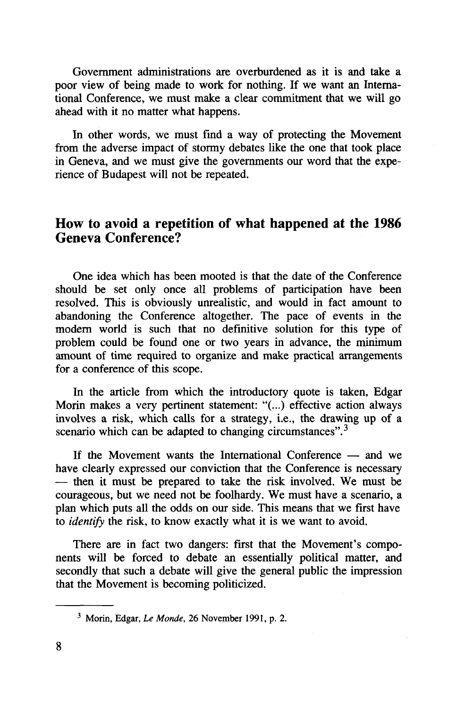Government administrations are overburdened as it is and take a poor view of being made to work for nothing. If we want an International Conference, we must make a clear commitment that we will go ahead with it no matter what happens.

In other words, we must find a way of protecting the Movement from the adverse impact of stormy debates like the one that took place in Geneva, and we must give the governments our word that the experience of Budapest will not be repeated.

### How to avoid a repetition of what happened at the 1986 Geneva Conference?

One idea which has been mooted is that the date of the Conference should be set only once all problems of participation have been resolved. This is obviously unrealistic, and would in fact amount to abandoning the Conference altogether. The pace of events in the modern world is such that no definitive solution for this type of problem could be found one or two years in advance, the minimum amount of time required to organize and make practical arrangements for a conference of this scope.

In the article from which the introductory quote is taken, Edgar Morin makes a very pertinent statement: "(...) effective action always involves a risk, which calls for a strategy, i.e., the drawing up of a scenario which can be adapted to changing circumstances".<sup>3</sup>

If the Movement wants the International Conference — and we have clearly expressed our conviction that the Conference is necessary — then it must be prepared to take the risk involved. We must be courageous, but we need not be foolhardy. We must have a scenario, a plan which puts all the odds on our side. This means that we first have to *identify* the risk, to know exactly what it is we want to avoid.

There are in fact two dangers: first that the Movement's components will be forced to debate an essentially political matter, and secondly that such a debate will give the general public the impression that the Movement is becoming politicized.

<sup>3</sup> Morin, Edgar, *Le Monde,* 26 November 1991, p. 2.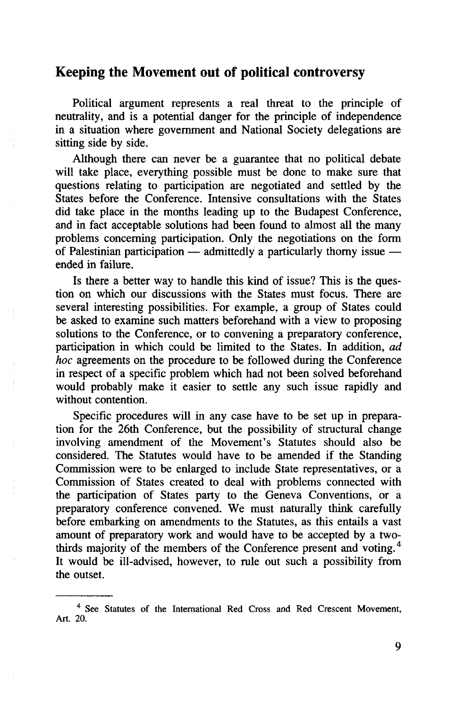#### Keeping the Movement out of political controversy

Political argument represents a real threat to the principle of neutrality, and is a potential danger for the principle of independence in a situation where government and National Society delegations are sitting side by side.

Although there can never be a guarantee that no political debate will take place, everything possible must be done to make sure that questions relating to participation are negotiated and settled by the States before the Conference. Intensive consultations with the States did take place in the months leading up to the Budapest Conference, and in fact acceptable solutions had been found to almost all the many problems concerning participation. Only the negotiations on the form of Palestinian participation — admittedly a particularly thorny issue ended in failure.

Is there a better way to handle this kind of issue? This is the question on which our discussions with the States must focus. There are several interesting possibilities. For example, a group of States could be asked to examine such matters beforehand with a view to proposing solutions to the Conference, or to convening a preparatory conference, participation in which could be limited to the States. In addition, *ad hoc* agreements on the procedure to be followed during the Conference in respect of a specific problem which had not been solved beforehand would probably make it easier to settle any such issue rapidly and without contention.

Specific procedures will in any case have to be set up in preparation for the 26th Conference, but the possibility of structural change involving amendment of the Movement's Statutes should also be considered. The Statutes would have to be amended if the Standing Commission were to be enlarged to include State representatives, or a Commission of States created to deal with problems connected with the participation of States party to the Geneva Conventions, or a preparatory conference convened. We must naturally think carefully before embarking on amendments to the Statutes, as this entails a vast amount of preparatory work and would have to be accepted by a twothirds majority of the members of the Conference present and voting.<sup>4</sup> It would be ill-advised, however, to rule out such a possibility from the outset.

<sup>4</sup> See Statutes of the International Red Cross and Red Crescent Movement, Art. 20.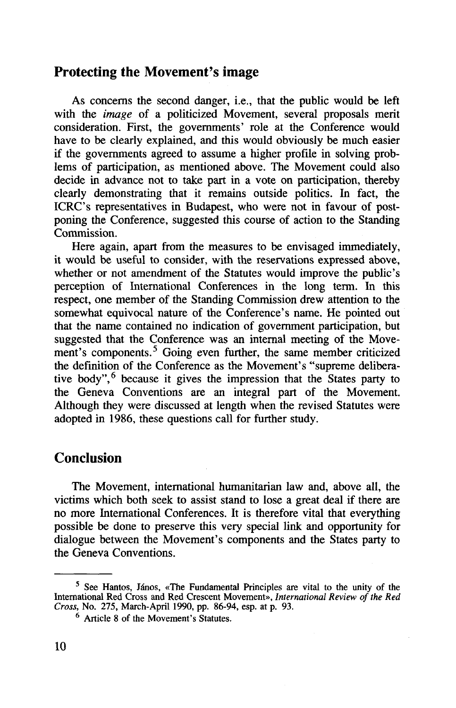### Protecting the Movement's image

As concerns the second danger, i.e., that the public would be left with the *image* of a politicized Movement, several proposals merit consideration. First, the governments' role at the Conference would have to be clearly explained, and this would obviously be much easier if the governments agreed to assume a higher profile in solving problems of participation, as mentioned above. The Movement could also decide in advance not to take part in a vote on participation, thereby clearly demonstrating that it remains outside politics. In fact, the ICRC's representatives in Budapest, who were not in favour of postponing the Conference, suggested this course of action to the Standing Commission.

Here again, apart from the measures to be envisaged immediately, it would be useful to consider, with the reservations expressed above, whether or not amendment of the Statutes would improve the public's perception of International Conferences in the long term. In this respect, one member of the Standing Commission drew attention to the somewhat equivocal nature of the Conference's name. He pointed out that the name contained no indication of government participation, but suggested that the Conference was an internal meeting of the Movement's components.<sup>5</sup> Going even further, the same member criticized the definition of the Conference as the Movement's "supreme deliberative body",<sup>6</sup> because it gives the impression that the States party to the Geneva Conventions are an integral part of the Movement. Although they were discussed at length when the revised Statutes were adopted in 1986, these questions call for further study.

### Conclusion

The Movement, international humanitarian law and, above all, the victims which both seek to assist stand to lose a great deal if there are no more International Conferences. It is therefore vital that everything possible be done to preserve this very special link and opportunity for dialogue between the Movement's components and the States party to the Geneva Conventions.

<sup>5</sup> See Hantos, Jdnos, «The Fundamental Principles are vital to the unity of the International Red Cross and Red Crescent Movement\*, *International Review of the Red Cross,* No. 275, March-April 1990, pp. 86-94, esp. at p. 93.

<sup>6</sup> Article 8 of the Movement's Statutes.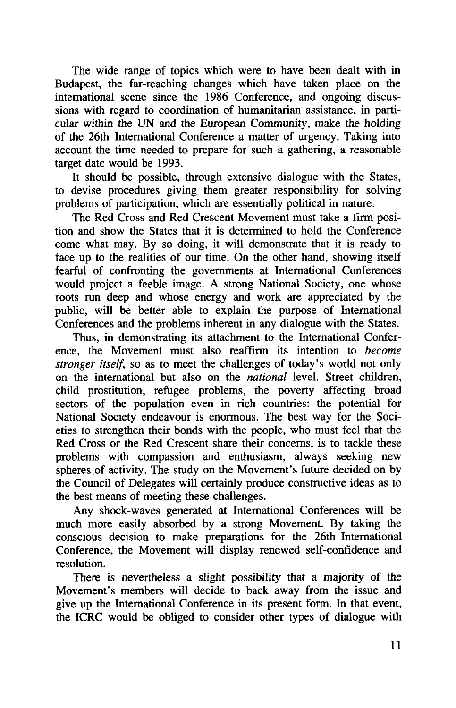The wide range of topics which were to have been dealt with in Budapest, the far-reaching changes which have taken place on the international scene since the 1986 Conference, and ongoing discussions with regard to coordination of humanitarian assistance, in particular within the UN and the European Community, make the holding of the 26th International Conference a matter of urgency. Taking into account the time needed to prepare for such a gathering, a reasonable target date would be 1993.

It should be possible, through extensive dialogue with the States, to devise procedures giving them greater responsibility for solving problems of participation, which are essentially political in nature.

The Red Cross and Red Crescent Movement must take a firm position and show the States that it is determined to hold the Conference come what may. By so doing, it will demonstrate that it is ready to face up to the realities of our time. On the other hand, showing itself fearful of confronting the governments at International Conferences would project a feeble image. A strong National Society, one whose roots run deep and whose energy and work are appreciated by the public, will be better able to explain the purpose of International Conferences and the problems inherent in any dialogue with the States.

Thus, in demonstrating its attachment to the International Conference, the Movement must also reaffirm its intention to *become stronger itself,* so as to meet the challenges of today's world not only on the international but also on the *national* level. Street children, child prostitution, refugee problems, the poverty affecting broad sectors of the population even in rich countries: the potential for National Society endeavour is enormous. The best way for the Societies to strengthen their bonds with the people, who must feel that the Red Cross or the Red Crescent share their concerns, is to tackle these problems with compassion and enthusiasm, always seeking new spheres of activity. The study on the Movement's future decided on by the Council of Delegates will certainly produce constructive ideas as to the best means of meeting these challenges.

Any shock-waves generated at International Conferences will be much more easily absorbed by a strong Movement. By taking the conscious decision to make preparations for the 26th International Conference, the Movement will display renewed self-confidence and resolution.

There is nevertheless a slight possibility that a majority of the Movement's members will decide to back away from the issue and give up the International Conference in its present form. In that event, the ICRC would be obliged to consider other types of dialogue with